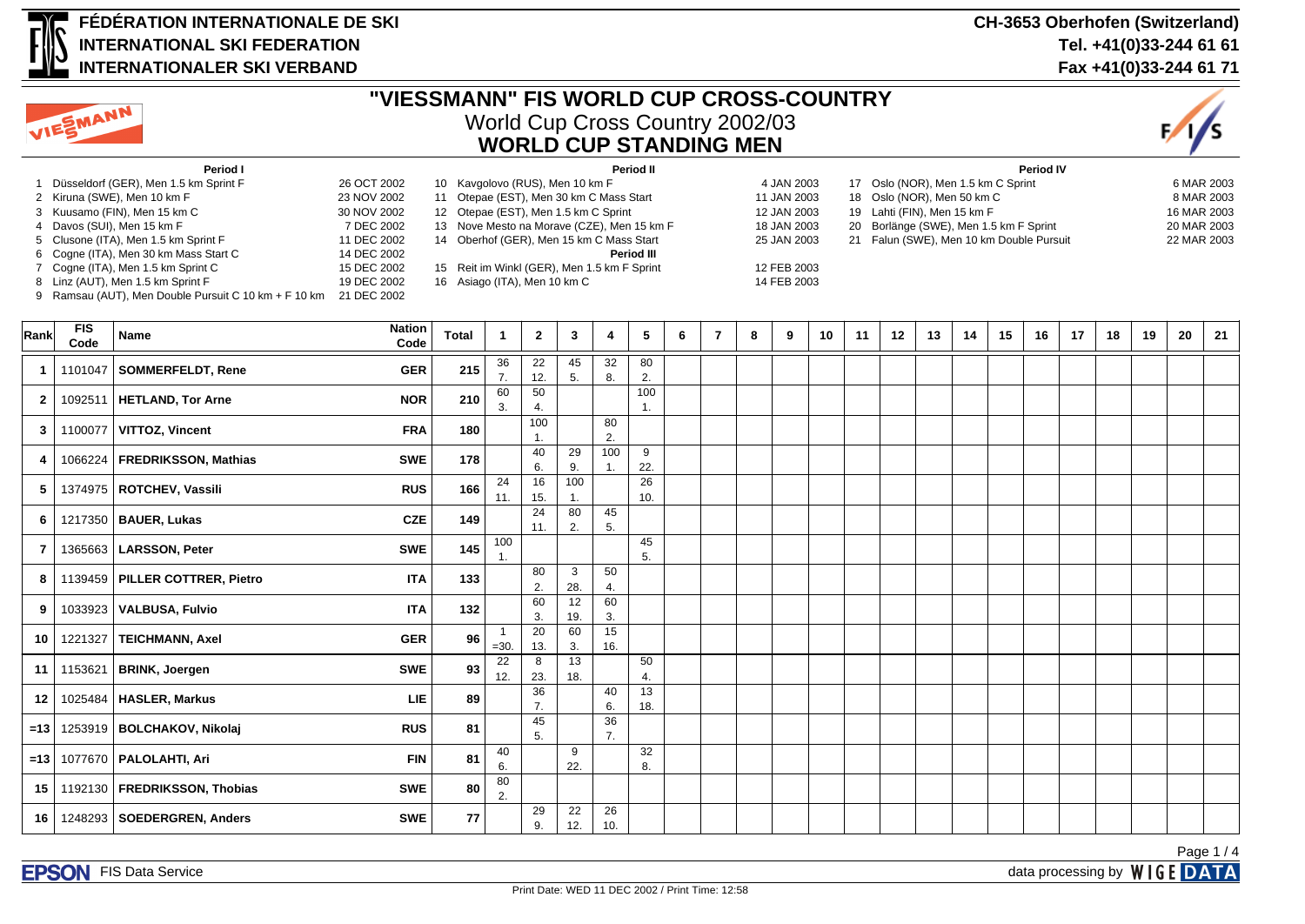

# **FÉDÉRATION INTERNATIONALE DE SKI INTERNATIONAL SKI FEDERATION INTERNATIONALER SKI VERBAND**

#### **CH-3653 Oberhofen (Switzerland) Tel. +41(0)33-244 61 61 Fax +41(0)33-244 61 71**



# **"VIESSMANN" FIS WORLD CUP CROSS-COUNTRY** World Cup Cross Country 2002/03 **WORLD CUP STANDING MEN**



| Period I                              |             | Period II                                   |             | <b>Period IV</b>                         |             |  |  |  |  |  |  |
|---------------------------------------|-------------|---------------------------------------------|-------------|------------------------------------------|-------------|--|--|--|--|--|--|
| Düsseldorf (GER), Men 1.5 km Sprint F | 26 OCT 2002 | 10 Kavgolovo (RUS), Men 10 km F             | 4 JAN 2003  | 17 Oslo (NOR), Men 1.5 km C Sprint       | 6 MAR 2003  |  |  |  |  |  |  |
| 2 Kiruna (SWE), Men 10 km F           | 23 NOV 2002 | 11 Otepae (EST), Men 30 km C Mass Start     | 11 JAN 2003 | 18 Oslo (NOR), Men 50 km C               | 8 MAR 2003  |  |  |  |  |  |  |
| 3 Kuusamo (FIN), Men 15 km C          | 30 NOV 2002 | 12 Otepae (EST), Men 1.5 km C Sprint        | 12 JAN 2003 | 19 Lahti (FIN), Men 15 km F              | 16 MAR 2003 |  |  |  |  |  |  |
| 4 Davos (SUI), Men 15 km F            | 7 DEC 2002  | 13 Nove Mesto na Morave (CZE), Men 15 km F  | 18 JAN 2003 | 20 Borlänge (SWE), Men 1.5 km F Sprint   | 20 MAR 2003 |  |  |  |  |  |  |
| 5 Clusone (ITA), Men 1.5 km Sprint F  | 11 DEC 2002 | 14 Oberhof (GER), Men 15 km C Mass Start    | 25 JAN 2003 | 21 Falun (SWE), Men 10 km Double Pursuit | 22 MAR 2003 |  |  |  |  |  |  |
| 6 Cogne (ITA), Men 30 km Mass Start C | 14 DEC 2002 | Period III                                  |             |                                          |             |  |  |  |  |  |  |
| 7 Cogne (ITA), Men 1.5 km Sprint C    | 15 DEC 2002 | 15 Reit im Winkl (GER), Men 1.5 km F Sprint | 12 FEB 2003 |                                          |             |  |  |  |  |  |  |
| 8 Linz (AUT), Men 1.5 km Sprint F     | 19 DEC 2002 | 16 Asiago (ITA), Men 10 km C                | 14 FEB 2003 |                                          |             |  |  |  |  |  |  |

9 Ramsau (AUT), Men Double Pursuit C 10 km + F 10 km 21 DEC 2002

| Rank             | <b>FIS</b><br>Code | Name                             | <b>Nation</b><br>Code | <b>Total</b> | -1                     | $\mathbf{2}$ | 3 <sup>1</sup> | 4         | 5         | 6 | $\overline{7}$ | 8 | 9 | 10 | 11 | 12 | 13 | 14 | 15 | 16 | 17 | 18 | 19 | 20 | 21 |
|------------------|--------------------|----------------------------------|-----------------------|--------------|------------------------|--------------|----------------|-----------|-----------|---|----------------|---|---|----|----|----|----|----|----|----|----|----|----|----|----|
| $\mathbf{1}$     | 1101047            | SOMMERFELDT, Rene                | <b>GER</b>            | 215          | 36<br>$\overline{7}$ . | 22<br>12.    | 45<br>5.       | 32<br>8.  | 80<br>2.  |   |                |   |   |    |    |    |    |    |    |    |    |    |    |    |    |
| $\mathbf{2}$     | 1092511            | <b>HETLAND, Tor Arne</b>         | <b>NOR</b>            | 210          | 60<br>3.               | 50<br>4.     |                |           | 100<br>1. |   |                |   |   |    |    |    |    |    |    |    |    |    |    |    |    |
| 3                | 1100077            | <b>VITTOZ, Vincent</b>           | <b>FRA</b>            | 180          |                        | 100          |                | 80<br>2.  |           |   |                |   |   |    |    |    |    |    |    |    |    |    |    |    |    |
| 4                | 1066224            | <b>FREDRIKSSON, Mathias</b>      | <b>SWE</b>            | 178          |                        | 40<br>6.     | 29<br>9.       | 100       | 9<br>22.  |   |                |   |   |    |    |    |    |    |    |    |    |    |    |    |    |
| 5                |                    | 1374975   ROTCHEV, Vassili       | <b>RUS</b>            | 166          | 24<br>11.              | 16<br>15.    | 100<br>1.      |           | 26<br>10. |   |                |   |   |    |    |    |    |    |    |    |    |    |    |    |    |
| 6                |                    | 1217350   BAUER, Lukas           | <b>CZE</b>            | 149          |                        | 24<br>11.    | 80<br>2.       | 45<br>5.  |           |   |                |   |   |    |    |    |    |    |    |    |    |    |    |    |    |
| $\overline{7}$   | 1365663            | LARSSON, Peter                   | <b>SWE</b>            | 145          | 100                    |              |                |           | 45<br>5.  |   |                |   |   |    |    |    |    |    |    |    |    |    |    |    |    |
| 8                |                    | 1139459   PILLER COTTRER, Pietro | <b>ITA</b>            | 133          |                        | 80<br>2.     | 3<br>28.       | 50<br>4.  |           |   |                |   |   |    |    |    |    |    |    |    |    |    |    |    |    |
| 9                |                    | 1033923   VALBUSA, Fulvio        | <b>ITA</b>            | 132          |                        | 60<br>3.     | 12<br>19.      | 60<br>3.  |           |   |                |   |   |    |    |    |    |    |    |    |    |    |    |    |    |
| 10               | 1221327            | TEICHMANN, Axel                  | <b>GER</b>            | 96           | - 1<br>$=30.$          | 20<br>13.    | 60<br>3.       | 15<br>16. |           |   |                |   |   |    |    |    |    |    |    |    |    |    |    |    |    |
| 11 <sup>1</sup>  | 1153621            | <b>BRINK, Joergen</b>            | <b>SWE</b>            | 93           | 22<br>12.              | 8<br>23.     | 13<br>18.      |           | 50<br>4.  |   |                |   |   |    |    |    |    |    |    |    |    |    |    |    |    |
| 12 <sup>12</sup> |                    | 1025484   HASLER, Markus         | LIE                   | 89           |                        | 36<br>7.     |                | 40<br>6.  | 13<br>18. |   |                |   |   |    |    |    |    |    |    |    |    |    |    |    |    |
| $=13$            |                    | 1253919   BOLCHAKOV, Nikolaj     | <b>RUS</b>            | 81           |                        | 45<br>5.     |                | 36<br>7.  |           |   |                |   |   |    |    |    |    |    |    |    |    |    |    |    |    |
| $=13$            |                    | 1077670   PALOLAHTI, Ari         | <b>FIN</b>            | 81           | 40<br>6.               |              | 9<br>22.       |           | 32<br>8.  |   |                |   |   |    |    |    |    |    |    |    |    |    |    |    |    |
| 15 <sup>1</sup>  |                    | 1192130   FREDRIKSSON, Thobias   | <b>SWE</b>            | 80           | 80<br>2.               |              |                |           |           |   |                |   |   |    |    |    |    |    |    |    |    |    |    |    |    |
| 16               |                    | 1248293   SOEDERGREN, Anders     | <b>SWE</b>            | 77           |                        | 29<br>9.     | 22<br>12.      | 26<br>10. |           |   |                |   |   |    |    |    |    |    |    |    |    |    |    |    |    |

Page 1 / 4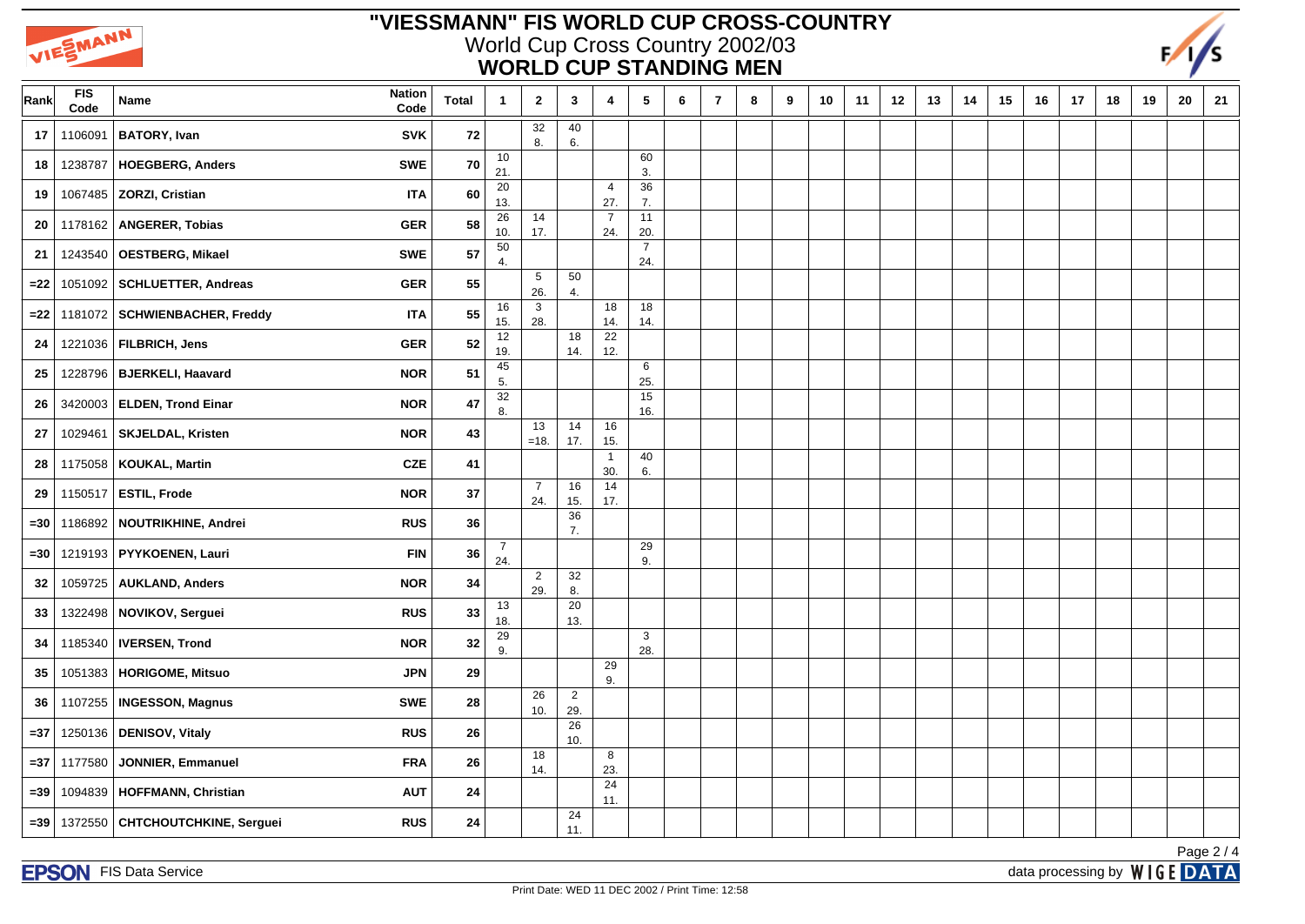

## **"VIESSMANN" FIS WORLD CUP CROSS-COUNTRY** World Cup Cross Country 2002/03 **WORLD CUP STANDING MEN**



| Rank   | FIS<br>Code | <b>Nation</b><br>Name<br>Code                | <b>Total</b>     | $\mathbf{1}$          | $\mathbf{2}$          | 3                     | 4                     | $5\phantom{.0}$       | 6 | $\overline{7}$ | 8 | 9 | 10 | 11 | 12 | 13 | 14 | 15 | 16 | 17 | 18 | 19 | 20 | 21 |
|--------|-------------|----------------------------------------------|------------------|-----------------------|-----------------------|-----------------------|-----------------------|-----------------------|---|----------------|---|---|----|----|----|----|----|----|----|----|----|----|----|----|
| 17     | 1106091     | <b>BATORY, Ivan</b><br><b>SVK</b>            | 72               |                       | $\overline{32}$<br>8. | 40<br>6.              |                       |                       |   |                |   |   |    |    |    |    |    |    |    |    |    |    |    |    |
| 18     | 1238787     | <b>HOEGBERG, Anders</b><br><b>SWE</b>        | 70               | 10<br>21.             |                       |                       |                       | 60<br>3.              |   |                |   |   |    |    |    |    |    |    |    |    |    |    |    |    |
| 19     |             | 1067485   ZORZI, Cristian                    | 60<br><b>ITA</b> | 20<br>13.             |                       |                       | $\overline{4}$<br>27. | 36<br>7.              |   |                |   |   |    |    |    |    |    |    |    |    |    |    |    |    |
| 20     |             | 1178162 ANGERER, Tobias<br><b>GER</b>        | 58               | 26<br>10.             | 14<br>17.             |                       | $\overline{7}$<br>24. | 11<br>20.             |   |                |   |   |    |    |    |    |    |    |    |    |    |    |    |    |
| 21     | 1243540     | <b>OESTBERG, Mikael</b><br><b>SWE</b>        | 57               | 50<br>4.              |                       |                       |                       | $\overline{7}$<br>24. |   |                |   |   |    |    |    |    |    |    |    |    |    |    |    |    |
| $= 22$ | 1051092     | <b>SCHLUETTER, Andreas</b><br><b>GER</b>     | 55               |                       | 5<br>26.              | 50<br>4.              |                       |                       |   |                |   |   |    |    |    |    |    |    |    |    |    |    |    |    |
| $=22$  | 1181072     | <b>SCHWIENBACHER, Freddy</b>                 | 55<br><b>ITA</b> | 16<br>15.             | $\mathbf{3}$<br>28.   |                       | 18<br>14.             | 18<br>14.             |   |                |   |   |    |    |    |    |    |    |    |    |    |    |    |    |
| 24     |             | 1221036   FILBRICH, Jens<br><b>GER</b>       | 52               | 12<br>19.             |                       | 18<br>14.             | 22<br>12.             |                       |   |                |   |   |    |    |    |    |    |    |    |    |    |    |    |    |
| 25     |             | 1228796   BJERKELI, Haavard<br><b>NOR</b>    | 51               | 45<br>5.              |                       |                       |                       | 6<br>25.              |   |                |   |   |    |    |    |    |    |    |    |    |    |    |    |    |
| 26     | 3420003     | <b>ELDEN, Trond Einar</b><br><b>NOR</b>      | 47               | $\overline{32}$<br>8. |                       |                       |                       | 15<br>16.             |   |                |   |   |    |    |    |    |    |    |    |    |    |    |    |    |
| 27     | 1029461     | <b>NOR</b><br><b>SKJELDAL, Kristen</b>       | 43               |                       | 13<br>$=18.$          | 14<br>17.             | 16<br>15.             |                       |   |                |   |   |    |    |    |    |    |    |    |    |    |    |    |    |
| 28     |             | 1175058   KOUKAL, Martin<br><b>CZE</b>       | 41               |                       |                       |                       | $\overline{1}$<br>30. | 40<br>6.              |   |                |   |   |    |    |    |    |    |    |    |    |    |    |    |    |
| 29     |             | <b>NOR</b><br>1150517   ESTIL, Frode         | 37               |                       | $\overline{7}$<br>24. | 16<br>15.             | 14<br>17.             |                       |   |                |   |   |    |    |    |    |    |    |    |    |    |    |    |    |
| $=30$  |             | <b>RUS</b><br>1186892   NOUTRIKHINE, Andrei  | 36               |                       |                       | 36<br>7.              |                       |                       |   |                |   |   |    |    |    |    |    |    |    |    |    |    |    |    |
| $=30$  | 1219193     | PYYKOENEN, Lauri                             | 36<br><b>FIN</b> | $\overline{7}$<br>24. |                       |                       |                       | 29<br>9.              |   |                |   |   |    |    |    |    |    |    |    |    |    |    |    |    |
| 32     | 1059725     | <b>AUKLAND, Anders</b><br><b>NOR</b>         | 34               |                       | $\overline{2}$<br>29. | 32<br>8.              |                       |                       |   |                |   |   |    |    |    |    |    |    |    |    |    |    |    |    |
| 33     | 1322498     | NOVIKOV, Serguei<br><b>RUS</b>               | 33               | 13<br>18.             |                       | 20<br>13.             |                       |                       |   |                |   |   |    |    |    |    |    |    |    |    |    |    |    |    |
| 34     | 1185340     | <b>IVERSEN, Trond</b><br><b>NOR</b>          | 32               | $\overline{29}$<br>9. |                       |                       |                       | 3<br>28.              |   |                |   |   |    |    |    |    |    |    |    |    |    |    |    |    |
| 35     | 1051383     | <b>HORIGOME, Mitsuo</b>                      | <b>JPN</b><br>29 |                       |                       |                       | 29<br>9.              |                       |   |                |   |   |    |    |    |    |    |    |    |    |    |    |    |    |
| 36     | 1107255     | <b>SWE</b><br><b>INGESSON, Magnus</b>        | 28               |                       | 26<br>10.             | $\overline{2}$<br>29. |                       |                       |   |                |   |   |    |    |    |    |    |    |    |    |    |    |    |    |
| $= 37$ |             | 1250136   DENISOV, Vitaly<br><b>RUS</b>      | 26               |                       |                       | 26<br>10.             |                       |                       |   |                |   |   |    |    |    |    |    |    |    |    |    |    |    |    |
| $= 37$ | 1177580     | <b>JONNIER, Emmanuel</b><br><b>FRA</b>       | 26               |                       | 18<br>14.             |                       | 8<br>23.              |                       |   |                |   |   |    |    |    |    |    |    |    |    |    |    |    |    |
| $= 39$ | 1094839     | HOFFMANN, Christian<br><b>AUT</b>            | 24               |                       |                       |                       | 24<br>11.             |                       |   |                |   |   |    |    |    |    |    |    |    |    |    |    |    |    |
| $= 39$ | 1372550     | <b>CHTCHOUTCHKINE, Serguei</b><br><b>RUS</b> | 24               |                       |                       | 24<br>11.             |                       |                       |   |                |   |   |    |    |    |    |    |    |    |    |    |    |    |    |

Page 2 / 4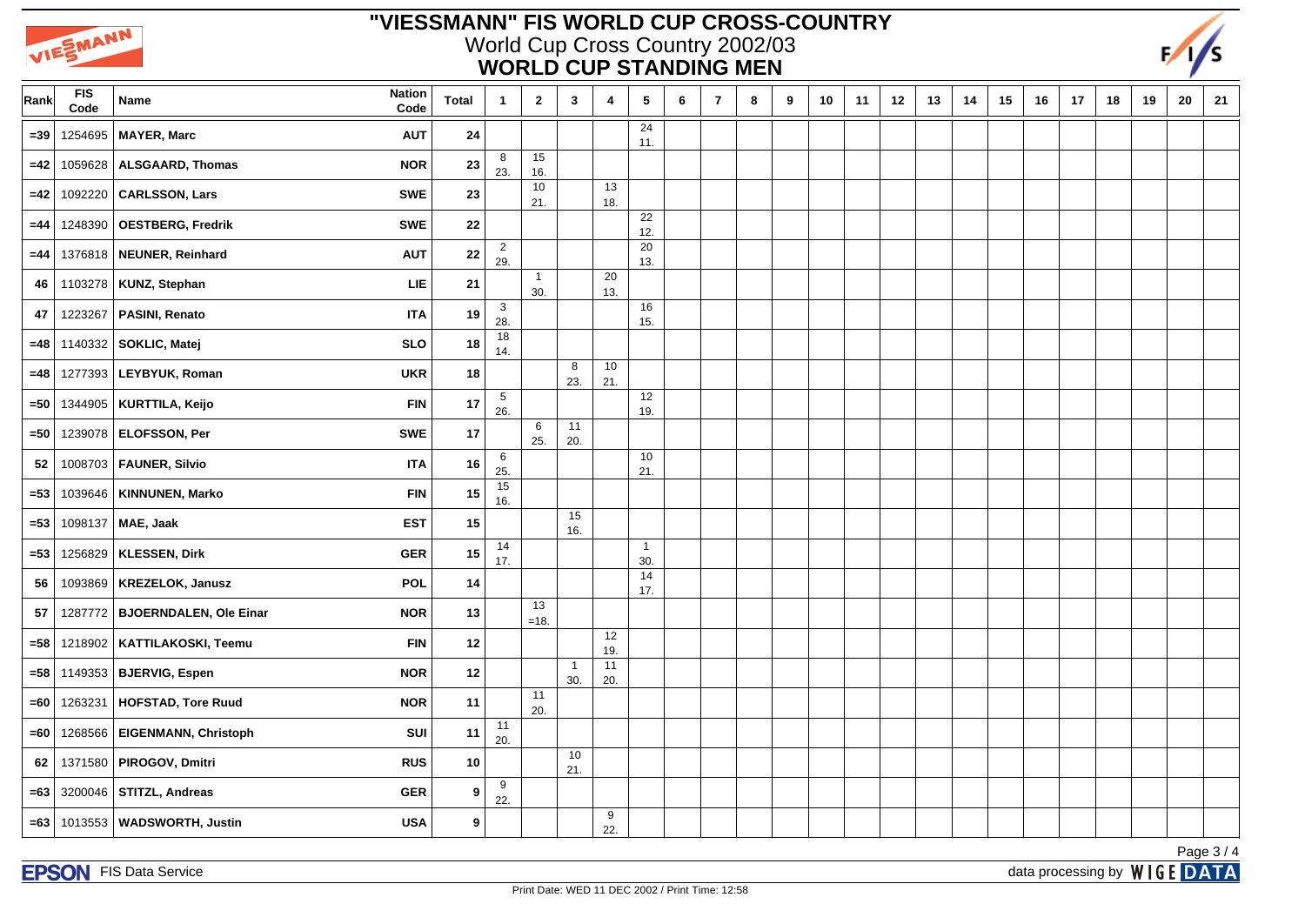

## **"VIESSMANN" FIS WORLD CUP CROSS-COUNTRY** World Cup Cross Country 2002/03 **WORLD CUP STANDING MEN**



| Rank   | <b>FIS</b><br>Code | <b>Nation</b><br>Name<br>Code               | <b>Total</b> | $\overline{1}$        | $\mathbf{2}$        | $\mathbf{3}$          | 4           | $\sqrt{5}$          | 6 | $\overline{\phantom{a}}$ | 8 | 9 | 10 | 11 | 12 | 13 | 14 | 15 | 16 | $17$ | 18 | 19 | ${\bf 20}$ | 21       |
|--------|--------------------|---------------------------------------------|--------------|-----------------------|---------------------|-----------------------|-------------|---------------------|---|--------------------------|---|---|----|----|----|----|----|----|----|------|----|----|------------|----------|
| $= 39$ | 1254695            | MAYER, Marc<br><b>AUT</b>                   | ${\bf 24}$   |                       |                     |                       |             | 24<br>11.           |   |                          |   |   |    |    |    |    |    |    |    |      |    |    |            |          |
| $=42$  | 1059628            | <b>ALSGAARD, Thomas</b><br><b>NOR</b>       | 23           | 8<br>23.              | 15<br>16.           |                       |             |                     |   |                          |   |   |    |    |    |    |    |    |    |      |    |    |            |          |
| $=42$  | 1092220            | CARLSSON, Lars<br><b>SWE</b>                | 23           |                       | 10<br>21.           |                       | 13<br>18.   |                     |   |                          |   |   |    |    |    |    |    |    |    |      |    |    |            |          |
| $=44$  | 1248390            | OESTBERG, Fredrik<br><b>SWE</b>             | 22           |                       |                     |                       |             | 22<br>12.           |   |                          |   |   |    |    |    |    |    |    |    |      |    |    |            |          |
| $=44$  |                    | 1376818 NEUNER, Reinhard<br><b>AUT</b>      | ${\bf 22}$   | $\overline{2}$<br>29. |                     |                       |             | 20<br>13.           |   |                          |   |   |    |    |    |    |    |    |    |      |    |    |            |          |
| 46     | 1103278            | KUNZ, Stephan<br>${\sf LIE}$                | 21           |                       | $\mathbf{1}$<br>30. |                       | 20<br>13.   |                     |   |                          |   |   |    |    |    |    |    |    |    |      |    |    |            |          |
| 47     | 1223267            | <b>PASINI, Renato</b><br><b>ITA</b>         | 19           | $\mathbf{3}$<br>28.   |                     |                       |             | 16<br>15.           |   |                          |   |   |    |    |    |    |    |    |    |      |    |    |            |          |
| $=48$  | 1140332            | SOKLIC, Matej<br><b>SLO</b>                 | $18$         | 18<br>14.             |                     |                       |             |                     |   |                          |   |   |    |    |    |    |    |    |    |      |    |    |            |          |
| $=48$  | 1277393            | LEYBYUK, Roman<br><b>UKR</b>                | 18           |                       |                     | 8<br>23.              | 10<br>21.   |                     |   |                          |   |   |    |    |    |    |    |    |    |      |    |    |            |          |
| $=50$  | 1344905            | <b>FIN</b><br>KURTTILA, Keijo               | 17           | $\overline{5}$<br>26. |                     |                       |             | 12<br>19.           |   |                          |   |   |    |    |    |    |    |    |    |      |    |    |            |          |
| =50    | 1239078            | <b>ELOFSSON, Per</b><br>SWE                 | 17           |                       | 6<br>25.            | 11<br>20.             |             |                     |   |                          |   |   |    |    |    |    |    |    |    |      |    |    |            |          |
| 52     |                    | 1008703   FAUNER, Silvio<br><b>ITA</b>      | 16           | 6<br>25.              |                     |                       |             | 10<br>21.           |   |                          |   |   |    |    |    |    |    |    |    |      |    |    |            |          |
| $= 53$ | 1039646            | KINNUNEN, Marko<br><b>FIN</b>               | 15           | 15<br>16.             |                     |                       |             |                     |   |                          |   |   |    |    |    |    |    |    |    |      |    |    |            |          |
| $= 53$ | 1098137            | MAE, Jaak<br><b>EST</b>                     | 15           |                       |                     | 15<br>16.             |             |                     |   |                          |   |   |    |    |    |    |    |    |    |      |    |    |            |          |
| $= 53$ | 1256829            | KLESSEN, Dirk<br><b>GER</b>                 | 15           | 14<br>17.             |                     |                       |             | $\mathbf{1}$<br>30. |   |                          |   |   |    |    |    |    |    |    |    |      |    |    |            |          |
| 56     | 1093869            | <b>KREZELOK, Janusz</b><br><b>POL</b>       | 14           |                       |                     |                       |             | 14<br>17.           |   |                          |   |   |    |    |    |    |    |    |    |      |    |    |            |          |
| 57     | 1287772            | <b>BJOERNDALEN, Ole Einar</b><br><b>NOR</b> | 13           |                       | 13<br>$=18.$        |                       |             |                     |   |                          |   |   |    |    |    |    |    |    |    |      |    |    |            |          |
| $=58$  | 1218902            | KATTILAKOSKI, Teemu<br><b>FIN</b>           | 12           |                       |                     |                       | 12<br>19.   |                     |   |                          |   |   |    |    |    |    |    |    |    |      |    |    |            |          |
| $= 58$ | 1149353            | <b>NOR</b><br><b>BJERVIG, Espen</b>         | 12           |                       |                     | $\overline{1}$<br>30. | $11$<br>20. |                     |   |                          |   |   |    |    |    |    |    |    |    |      |    |    |            |          |
| =60    | 1263231            | HOFSTAD, Tore Ruud<br><b>NOR</b>            | 11           |                       | 11<br>20.           |                       |             |                     |   |                          |   |   |    |    |    |    |    |    |    |      |    |    |            |          |
| $=60$  | 1268566            | <b>EIGENMANN, Christoph</b><br>SUI          | 11           | 11<br>20.             |                     |                       |             |                     |   |                          |   |   |    |    |    |    |    |    |    |      |    |    |            |          |
| 62     | 1371580            | PIROGOV, Dmitri<br><b>RUS</b>               | $10$         |                       |                     | 10<br>21.             |             |                     |   |                          |   |   |    |    |    |    |    |    |    |      |    |    |            |          |
| $= 63$ |                    | 3200046   STITZL, Andreas<br><b>GER</b>     | 9            | 9<br>22.              |                     |                       |             |                     |   |                          |   |   |    |    |    |    |    |    |    |      |    |    |            |          |
| $=63$  | 1013553            | WADSWORTH, Justin<br><b>USA</b>             | 9            |                       |                     |                       | 9<br>22.    |                     |   |                          |   |   |    |    |    |    |    |    |    |      |    |    |            |          |
|        |                    |                                             |              |                       |                     |                       |             |                     |   |                          |   |   |    |    |    |    |    |    |    |      |    |    |            | Page 3/4 |